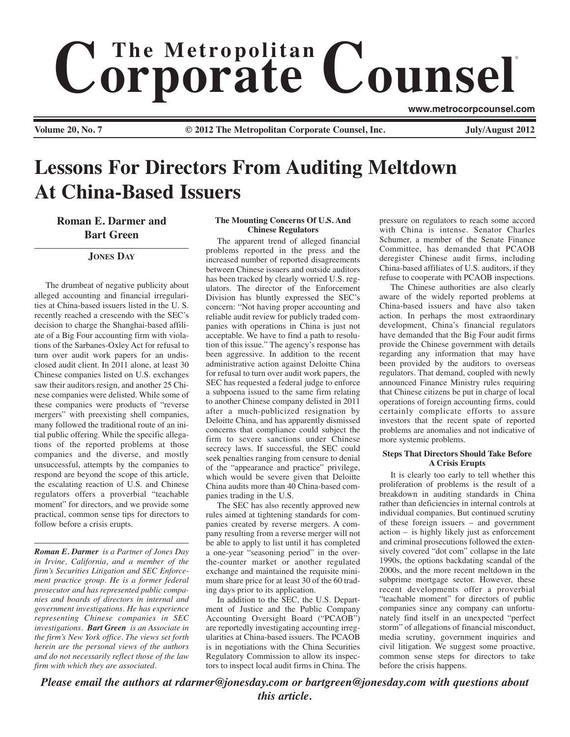# $$ ®

**Volume 20, No. 7 Cauca Connect 2012** The Metropolitan Corporate Counsel, Inc. **Inc.** July/August 2012

**www.metrocorpcounsel.com**

**Lessons For Directors From Auditing Meltdown At China-Based Issuers**

**Roman E. Darmer and Bart Green**

**JONES DAY**

The drumbeat of negative publicity about alleged accounting and financial irregularities at China-based issuers listed in the U. S. recently reached a crescendo with the SEC's decision to charge the Shanghai-based affiliate of a Big Four accounting firm with violations of the Sarbanes-Oxley Act for refusal to turn over audit work papers for an undisclosed audit client. In 2011 alone, at least 30 Chinese companies listed on U.S. exchanges saw their auditors resign, and another 25 Chinese companies were delisted. While some of these companies were products of "reverse mergers" with preexisting shell companies, many followed the traditional route of an initial public offering. While the specific allegations of the reported problems at those companies and the diverse, and mostly unsuccessful, attempts by the companies to respond are beyond the scope of this article, the escalating reaction of U.S. and Chinese regulators offers a proverbial "teachable moment" for directors, and we provide some practical, common sense tips for directors to follow before a crisis erupts.

*Roman E. Darmer is a Partner of Jones Day in Irvine, California, and a member of the firm's Securities Litigation and SEC Enforcement practice group. He is a former federal prosecutor and has represented public companies and boards of directors in internal and government investigations. He has experience representing Chinese companies in SEC investigations. Bart Green is an Associate in the firm's New York office. The views set forth herein are the personal views of the authors and do not necessarily reflect those of the law firm with which they are associated.*

### **The Mounting Concerns Of U.S. And Chinese Regulators**

The apparent trend of alleged financial problems reported in the press and the increased number of reported disagreements between Chinese issuers and outside auditors has been tracked by clearly worried U.S. regulators. The director of the Enforcement Division has bluntly expressed the SEC's concern: "Not having proper accounting and reliable audit review for publicly traded companies with operations in China is just not acceptable. We have to find a path to resolution of this issue." The agency's response has been aggressive. In addition to the recent administrative action against Deloitte China for refusal to turn over audit work papers, the SEC has requested a federal judge to enforce a subpoena issued to the same firm relating to another Chinese company delisted in 2011 after a much-publicized resignation by Deloitte China, and has apparently dismissed concerns that compliance could subject the firm to severe sanctions under Chinese secrecy laws. If successful, the SEC could seek penalties ranging from censure to denial of the "appearance and practice" privilege, which would be severe given that Deloitte China audits more than 40 China-based companies trading in the U.S.

The SEC has also recently approved new rules aimed at tightening standards for companies created by reverse mergers. A company resulting from a reverse merger will not be able to apply to list until it has completed a one-year "seasoning period" in the overthe-counter market or another regulated exchange and maintained the requisite minimum share price for at least 30 of the 60 trading days prior to its application.

In addition to the SEC, the U.S. Department of Justice and the Public Company Accounting Oversight Board ("PCAOB") are reportedly investigating accounting irregularities at China-based issuers. The PCAOB is in negotiations with the China Securities Regulatory Commission to allow its inspectors to inspect local audit firms in China. The

pressure on regulators to reach some accord with China is intense. Senator Charles Schumer, a member of the Senate Finance Committee, has demanded that PCAOB deregister Chinese audit firms, including China-based affiliates of U.S. auditors, if they refuse to cooperate with PCAOB inspections.

The Chinese authorities are also clearly aware of the widely reported problems at China-based issuers and have also taken action. In perhaps the most extraordinary development, China's financial regulators have demanded that the Big Four audit firms provide the Chinese government with details regarding any information that may have been provided by the auditors to overseas regulators. That demand, coupled with newly announced Finance Ministry rules requiring that Chinese citizens be put in charge of local operations of foreign accounting firms, could certainly complicate efforts to assure investors that the recent spate of reported problems are anomalies and not indicative of more systemic problems.

## **Steps That Directors Should Take Before A Crisis Erupts**

It is clearly too early to tell whether this proliferation of problems is the result of a breakdown in auditing standards in China rather than deficiencies in internal controls at individual companies. But continued scrutiny of these foreign issuers – and government action – is highly likely just as enforcement and criminal prosecutions followed the extensively covered "dot com" collapse in the late 1990s, the options backdating scandal of the 2000s, and the more recent meltdown in the subprime mortgage sector. However, these recent developments offer a proverbial "teachable moment" for directors of public companies since any company can unfortunately find itself in an unexpected "perfect storm" of allegations of financial misconduct, media scrutiny, government inquiries and civil litigation. We suggest some proactive, common sense steps for directors to take before the crisis happens.

*Please email the authors at rdarmer@jonesday.com or bartgreen@jonesday.com with questions about this article.*